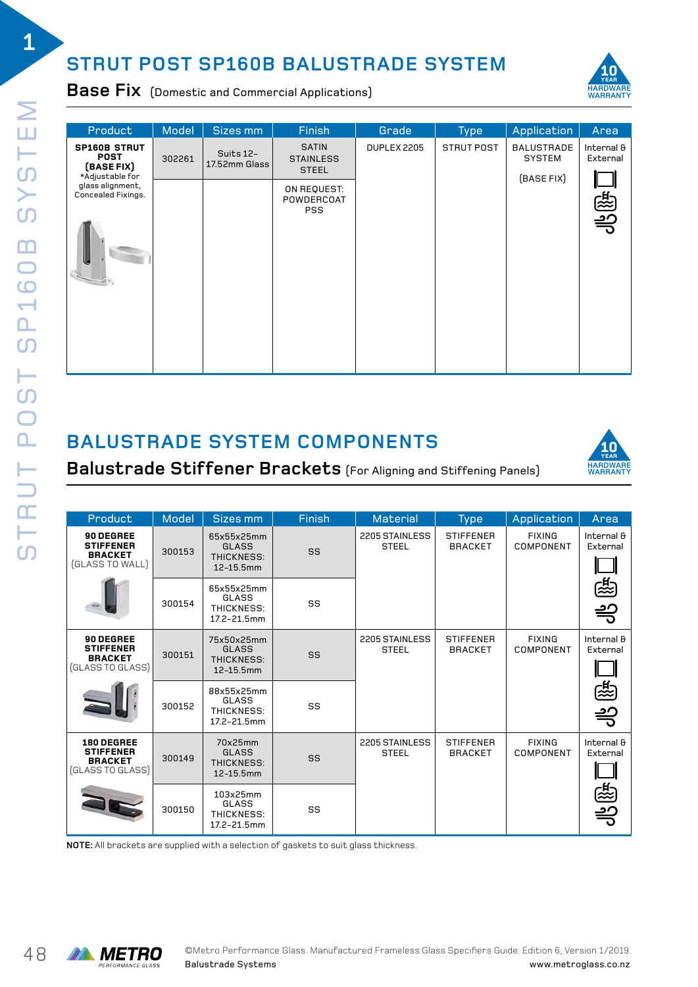## **STRUT POST SP160B BALUSTRADE SYSTEM**



**Base Fix** (Domestic and Commercial Applications)

| Product                                                        | Model  | Sizes mm                   | Finish                                           | Grade       | <b>Type</b> | Application                        | Area                          |
|----------------------------------------------------------------|--------|----------------------------|--------------------------------------------------|-------------|-------------|------------------------------------|-------------------------------|
| <b>SP160B STRUT</b><br><b>POST</b><br>(BASE FIX)               | 302261 | Suits 12-<br>17.52mm Glass | <b>SATIN</b><br><b>STAINLESS</b><br><b>STEEL</b> | DUPLEX 2205 | STRUT POST  | <b>BALUSTRADE</b><br><b>SYSTEM</b> | Internal &<br>External        |
| *Adjustable for<br>glass alignment,<br>Concealed Fixings.<br>u |        |                            | ON REQUEST:<br>POWDERCOAT<br><b>PSS</b>          |             |             | (BASE FIX)                         | ्द्रि<br>$\frac{1}{\sqrt{2}}$ |

## **BALUSTRADE SYSTEM COMPONENTS**



**Balustrade Stiffener Brackets** (For Aligning and Stiffening Panels)

| Product                                                              | Model  | Sizes mm                                              | Finish                               | <b>Material</b>                    | <b>Type</b>                        | Application                | Area                   |
|----------------------------------------------------------------------|--------|-------------------------------------------------------|--------------------------------------|------------------------------------|------------------------------------|----------------------------|------------------------|
| 90 DEGREE<br><b>STIFFENER</b><br><b>BRACKET</b><br>(GLASS TO WALL)   | 300153 | 65x55x25mm<br>GLASS<br>THICKNESS:<br>12-15.5mm        | SS                                   | 2205 STAINLESS<br><b>STEEL</b>     | <b>STIFFENER</b><br><b>BRACKET</b> | <b>FIXING</b><br>COMPONENT | Internal &<br>External |
|                                                                      | 300154 | 65x55x25mm<br>GLASS<br>THICKNESS:<br>17.2-21.5mm      | SS                                   |                                    |                                    |                            | 恁                      |
| 90 DEGREE<br><b>STIFFENER</b><br><b>BRACKET</b><br>(GLASS TO GLASS)  | 300151 | 75x50x25mm<br><b>GLASS</b><br>THICKNESS:<br>12-15.5mm | SS                                   | 2205 STAINLESS<br><b>STEEL</b>     | <b>STIFFENER</b><br><b>BRACKET</b> | <b>FIXING</b><br>COMPONENT | Internal &<br>External |
|                                                                      | 300152 | 88x55x25mm<br>GLASS<br>THICKNESS:<br>17.2-21.5mm      | SS                                   |                                    |                                    |                            | 怨                      |
| 180 DEGREE<br><b>STIFFENER</b><br><b>BRACKET</b><br>(GLASS TO GLASS) | 300149 | 70x25mm<br><b>GLASS</b><br>THICKNESS:<br>12-15.5mm    | 2205 STAINLESS<br><b>STEEL</b><br>SS | <b>STIFFENER</b><br><b>BRACKET</b> | <b>FIXING</b><br>COMPONENT         | Internal &<br>External     |                        |
|                                                                      | 300150 | 103x25mm<br>GLASS<br>THICKNESS:<br>17.2-21.5mm        | SS                                   |                                    |                                    |                            | 怨                      |

**NOTE:** All brackets are supplied with a selection of gaskets to suit glass thickness.

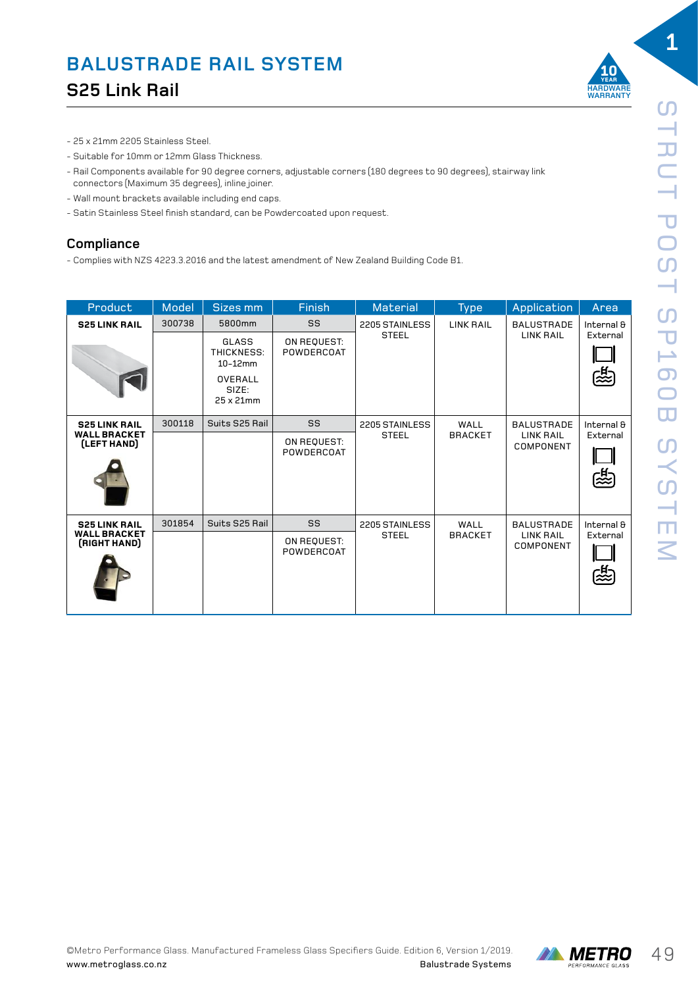

- 25 x 21mm 2205 Stainless Steel.
- Suitable for 10mm or 12mm Glass Thickness.
- Rail Components available for 90 degree corners, adjustable corners (180 degrees to 90 degrees), stairway link connectors (Maximum 35 degrees), inline joiner.
- Wall mount brackets available including end caps.
- Satin Stainless Steel finish standard, can be Powdercoated upon request.

#### **Compliance**

- Complies with NZS 4223.3.2016 and the latest amendment of New Zealand Building Code B1.

| Product                             | Model  | Sizes mm                       | <b>Finish</b>             | <b>Material</b> | <b>Type</b>      | Application                   | Area                   |   |
|-------------------------------------|--------|--------------------------------|---------------------------|-----------------|------------------|-------------------------------|------------------------|---|
| <b>S25 LINK RAIL</b>                | 300738 | 5800mm                         | SS                        | 2205 STAINLESS  | <b>LINK RAIL</b> | <b>BALUSTRADE</b>             | Internal &             |   |
|                                     |        | GLASS<br>THICKNESS:<br>10-12mm | ON REQUEST:<br>POWDERCOAT | <b>STEEL</b>    |                  | <b>LINK RAIL</b>              | External               |   |
|                                     |        | OVERALL<br>SIZE:<br>25 x 21mm  |                           |                 |                  |                               |                        | 鴎 |
| <b>S25 LINK RAIL</b>                | 300118 | Suits S25 Rail                 | SS                        | 2205 STAINLESS  | WALL             | <b>BALUSTRADE</b>             | Internal &             |   |
| <b>WALL BRACKET</b><br>(LEFT HAND)  |        |                                | ON REQUEST:<br>POWDERCOAT | <b>STEEL</b>    | <b>BRACKET</b>   | <b>LINK RAIL</b><br>COMPONENT | External<br><u>ිසි</u> |   |
| <b>S25 LINK RAIL</b>                | 301854 | Suits S25 Rail                 | SS                        | 2205 STAINLESS  | WALL             | <b>BALUSTRADE</b>             | Internal &             |   |
| <b>WALL BRACKET</b><br>(RIGHT HAND) |        |                                | ON REQUEST:<br>POWDERCOAT | <b>STEEL</b>    | <b>BRACKET</b>   | <b>LINK RAIL</b><br>COMPONENT | External<br>鹇          |   |

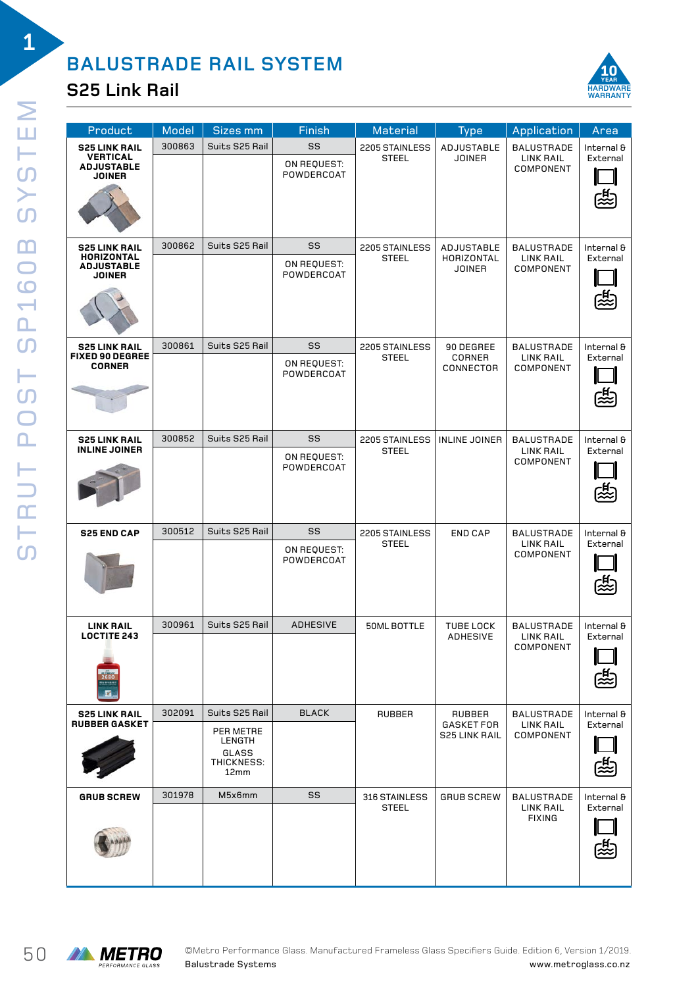#### **S25 Link Rail**



| Product                                                                         | Model  | <b>Sizes mm</b>                                                      | Finish                          | Material                       | <b>Type</b>                                         | Application                                        | Area                                  |
|---------------------------------------------------------------------------------|--------|----------------------------------------------------------------------|---------------------------------|--------------------------------|-----------------------------------------------------|----------------------------------------------------|---------------------------------------|
| <b>S25 LINK RAIL</b><br><b>VERTICAL</b><br><b>ADJUSTABLE</b><br><b>JOINER</b>   | 300863 | Suits S25 Rail                                                       | SS<br>ON REQUEST:<br>POWDERCOAT | 2205 STAINLESS<br><b>STEEL</b> | ADJUSTABLE<br><b>JOINER</b>                         | <b>BALUSTRADE</b><br><b>LINK RAIL</b><br>COMPONENT | Internal &<br>External<br>~<br>《      |
| <b>S25 LINK RAIL</b><br><b>HORIZONTAL</b><br><b>ADJUSTABLE</b><br><b>JOINER</b> | 300862 | Suits S25 Rail                                                       | SS<br>ON REQUEST:<br>POWDERCOAT | 2205 STAINLESS<br><b>STEEL</b> | <b>ADJUSTABLE</b><br>HORIZONTAL<br><b>JOINER</b>    | <b>BALUSTRADE</b><br><b>LINK RAIL</b><br>COMPONENT | Internal &<br>External<br>恐           |
| <b>S25 LINK RAIL</b><br><b>FIXED 90 DEGREE</b><br><b>CORNER</b>                 | 300861 | Suits S25 Rail                                                       | SS<br>ON REQUEST:<br>POWDERCOAT | 2205 STAINLESS<br><b>STEEL</b> | 90 DEGREE<br>CORNER<br>CONNECTOR                    | <b>BALUSTRADE</b><br>LINK RAIL<br>COMPONENT        | Internal &<br>External<br>~<br>《<br>《 |
| <b>S25 LINK RAIL</b><br><b>INLINE JOINER</b>                                    | 300852 | Suits S25 Rail                                                       | SS<br>ON REQUEST:<br>POWDERCOAT | 2205 STAINLESS<br><b>STEEL</b> | INLINE JOINER                                       | <b>BALUSTRADE</b><br><b>LINK RAIL</b><br>COMPONENT | Internal &<br>External<br>忠           |
| <b>S25 END CAP</b>                                                              | 300512 | Suits S25 Rail                                                       | SS<br>ON REQUEST:<br>POWDERCOAT | 2205 STAINLESS<br><b>STEEL</b> | <b>END CAP</b>                                      | <b>BALUSTRADE</b><br>LINK RAIL<br>COMPONENT        | Internal &<br>External                |
| <b>LINK RAIL</b><br><b>LOCTITE 243</b>                                          | 300961 | Suits S25 Rail                                                       | <b>ADHESIVE</b>                 | 50ML BOTTLE                    | <b>TUBE LOCK</b><br>ADHESIVE                        | <b>BALUSTRADE</b><br>LINK RAIL<br>COMPONENT        | Internal &<br>External                |
| <b>S25 LINK RAIL</b><br><b>RUBBER GASKET</b>                                    | 302091 | Suits S25 Rail<br>PER METRE<br>LENGTH<br>GLASS<br>THICKNESS:<br>12mm | <b>BLACK</b>                    | <b>RUBBER</b>                  | RUBBER<br><b>GASKET FOR</b><br><b>S25 LINK RAIL</b> | <b>BALUSTRADE</b><br>LINK RAIL<br>COMPONENT        | Internal &<br>External                |
| <b>GRUB SCREW</b>                                                               | 301978 | M5x6mm                                                               | SS                              | 316 STAINLESS<br><b>STEEL</b>  | <b>GRUB SCREW</b>                                   | <b>BALUSTRADE</b><br>LINK RAIL<br><b>FIXING</b>    | Internal &<br>External                |

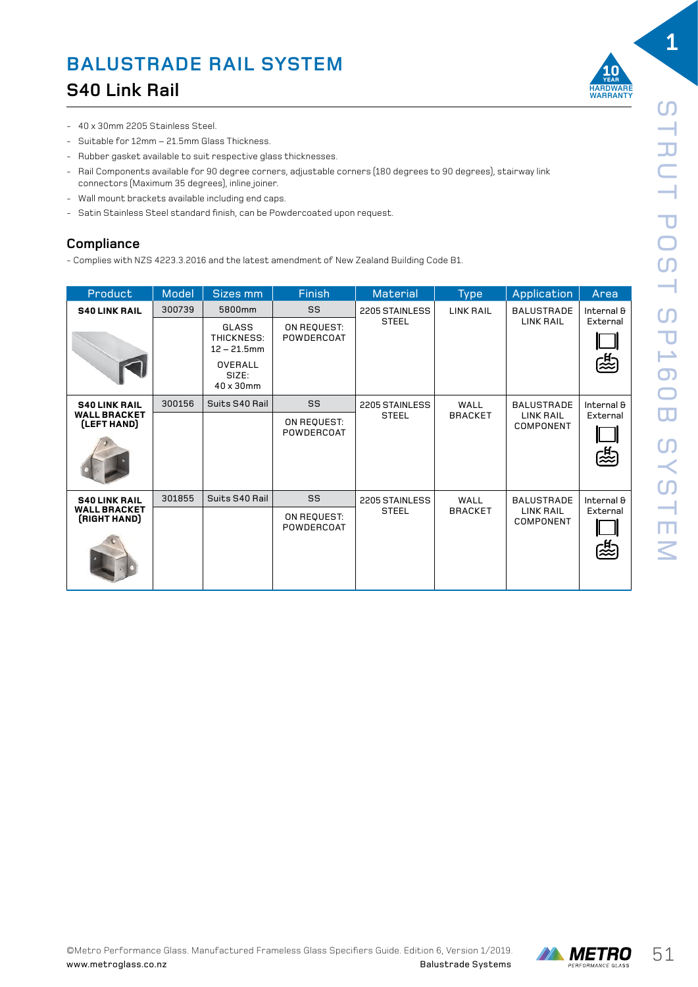

- 40 x 30mm 2205 Stainless Steel.
- Suitable for 12mm 21.5mm Glass Thickness.
- Rubber gasket available to suit respective glass thicknesses.
- Rail Components available for 90 degree corners, adjustable corners (180 degrees to 90 degrees), stairway link connectors (Maximum 35 degrees), inline joiner.
- Wall mount brackets available including end caps.
- Satin Stainless Steel standard finish, can be Powdercoated upon request.

#### **Compliance**

- Complies with NZS 4223.3.2016 and the latest amendment of New Zealand Building Code B1.

| Product                             | Model  | Sizes mm                              | Finish                    | <b>Material</b> | <b>Type</b>      | Application                   | Area                    |            |
|-------------------------------------|--------|---------------------------------------|---------------------------|-----------------|------------------|-------------------------------|-------------------------|------------|
| <b>S40 LINK RAIL</b>                | 300739 | 5800mm                                | SS                        | 2205 STAINLESS  | <b>LINK RAIL</b> | <b>BALUSTRADE</b>             | Internal &              |            |
|                                     |        | GLASS<br>THICKNESS:<br>$12 - 21.5$ mm | ON REQUEST:<br>POWDERCOAT | <b>STEEL</b>    |                  | <b>LINK RAIL</b>              | External                |            |
|                                     |        | OVERALL<br>SIZE:<br>40 x 30mm         |                           |                 |                  |                               | 鸥                       |            |
| <b>S40 LINK RAIL</b>                | 300156 | Suits S40 Rail                        | SS                        | 2205 STAINLESS  | WALL             | <b>BALUSTRADE</b>             |                         | Internal & |
| <b>WALL BRACKET</b><br>(LEFT HAND)  |        |                                       | ON REQUEST:<br>POWDERCOAT | <b>STEEL</b>    | <b>BRACKET</b>   | <b>LINK RAIL</b><br>COMPONENT | External<br>[<br>《<br>《 |            |
| <b>S40 LINK RAIL</b>                | 301855 | Suits S40 Rail                        | SS                        | 2205 STAINLESS  | WALL             | <b>BALUSTRADE</b>             | Internal &              |            |
| <b>WALL BRACKET</b><br>(RIGHT HAND) |        |                                       | ON REQUEST:<br>POWDERCOAT | <b>STEEL</b>    | <b>BRACKET</b>   | <b>LINK RAIL</b><br>COMPONENT | External<br>鸥           |            |

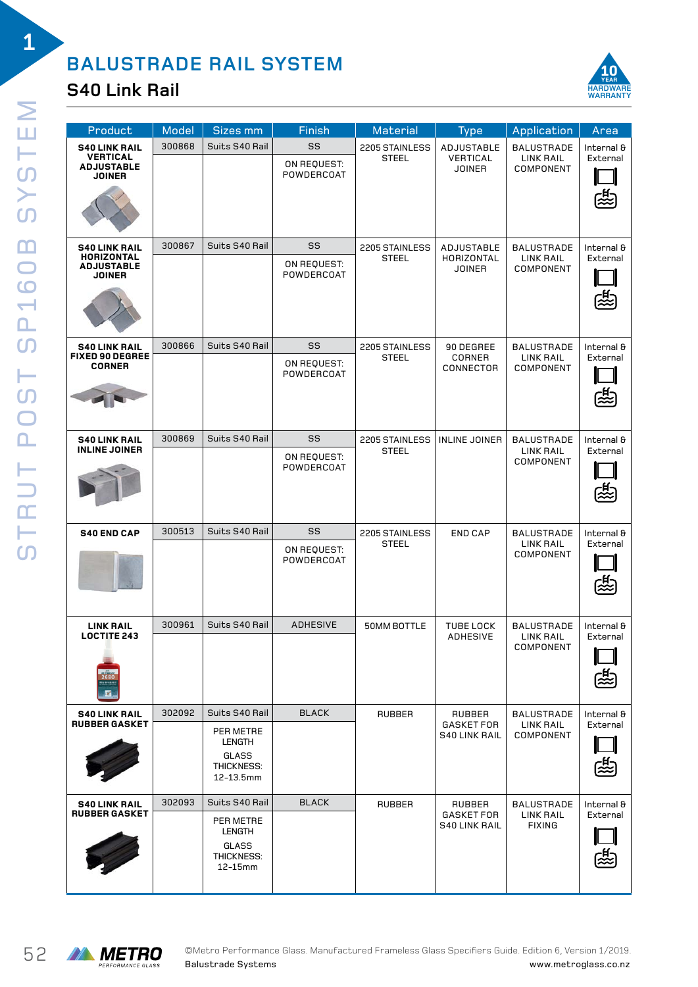### **S40 Link Rail**



| Product                                                                         | Model  | Sizes mm                                                                              | <b>Finish</b>                   | Material                       | <b>Type</b>                                         | Application                                     | Area                        |
|---------------------------------------------------------------------------------|--------|---------------------------------------------------------------------------------------|---------------------------------|--------------------------------|-----------------------------------------------------|-------------------------------------------------|-----------------------------|
| <b>S40 LINK RAIL</b><br><b>VERTICAL</b><br><b>ADJUSTABLE</b><br><b>JOINER</b>   | 300868 | Suits S40 Rail                                                                        | SS<br>ON REQUEST:<br>POWDERCOAT | 2205 STAINLESS<br><b>STEEL</b> | ADJUSTABLE<br><b>VERTICAL</b><br><b>JOINER</b>      | <b>BALUSTRADE</b><br>LINK RAIL<br>COMPONENT     | Internal &<br>External<br>朶 |
| <b>S40 LINK RAIL</b><br><b>HORIZONTAL</b><br><b>ADJUSTABLE</b><br><b>JOINER</b> | 300867 | Suits S40 Rail                                                                        | SS<br>ON REQUEST:<br>POWDERCOAT | 2205 STAINLESS<br><b>STEEL</b> | ADJUSTABLE<br>HORIZONTAL<br><b>JOINER</b>           | <b>BALUSTRADE</b><br>LINK RAIL<br>COMPONENT     | Internal &<br>External<br>惢 |
| <b>S40 LINK RAIL</b><br><b>FIXED 90 DEGREE</b><br><b>CORNER</b>                 | 300866 | Suits S40 Rail                                                                        | SS<br>ON REQUEST:<br>POWDERCOAT | 2205 STAINLESS<br><b>STEEL</b> | 90 DEGREE<br>CORNER<br>CONNECTOR                    | <b>BALUSTRADE</b><br>LINK RAIL<br>COMPONENT     | Internal &<br>External<br>忠 |
| <b>S40 LINK RAIL</b><br><b>INLINE JOINER</b>                                    | 300869 | Suits S40 Rail                                                                        | SS<br>ON REQUEST:<br>POWDERCOAT | 2205 STAINLESS<br><b>STEEL</b> | INLINE JOINER                                       | <b>BALUSTRADE</b><br>LINK RAIL<br>COMPONENT     | Internal &<br>External<br>忠 |
| <b>S40 END CAP</b>                                                              | 300513 | Suits S40 Rail                                                                        | SS<br>ON REQUEST:<br>POWDERCOAT | 2205 STAINLESS<br><b>STEEL</b> | <b>END CAP</b>                                      | <b>BALUSTRADE</b><br>LINK RAIL<br>COMPONENT     | Internal &<br>External      |
| <b>LINK RAIL</b><br><b>LOCTITE 243</b>                                          | 300961 | Suits S40 Rail                                                                        | <b>ADHESIVE</b>                 | 50MM BOTTLE                    | TUBE LOCK<br>ADHESIVE                               | <b>BALUSTRADE</b><br>LINK RAIL<br>COMPONENT     | Internal &<br>External      |
| <b>S40 LINK RAIL</b><br><b>RUBBER GASKET</b>                                    | 302092 | Suits S40 Rail<br>PER METRE<br><b>LENGTH</b><br>GLASS<br>THICKNESS:<br>12-13.5mm      | <b>BLACK</b>                    | <b>RUBBER</b>                  | RUBBER<br><b>GASKET FOR</b><br><b>S40 LINK RAIL</b> | <b>BALUSTRADE</b><br>LINK RAIL<br>COMPONENT     | Internal &<br>External      |
| <b>S40 LINK RAIL</b><br><b>RUBBER GASKET</b>                                    | 302093 | Suits S40 Rail<br>PER METRE<br><b>LENGTH</b><br><b>GLASS</b><br>THICKNESS:<br>12-15mm | <b>BLACK</b>                    | <b>RUBBER</b>                  | RUBBER<br><b>GASKET FOR</b><br><b>S40 LINK RAIL</b> | <b>BALUSTRADE</b><br>LINK RAIL<br><b>FIXING</b> | Internal &<br>External      |

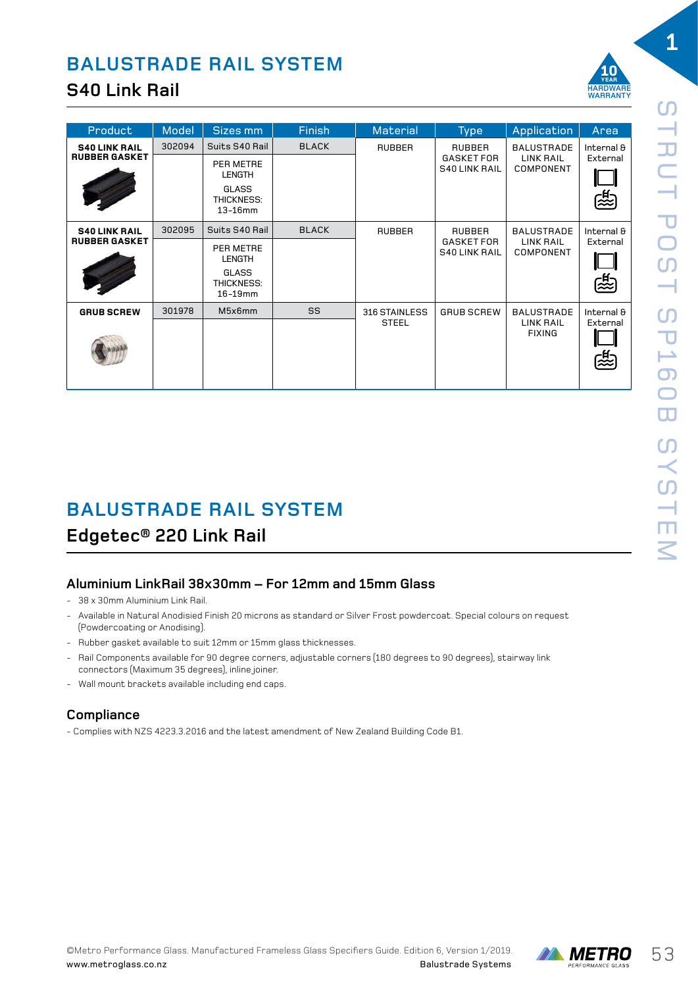### **S40 Link Rail**

| Product              | Model  | Sizes mm                              | <b>Finish</b> | <b>Material</b> | <b>Type</b>                               | Application                   | Area                  |            |
|----------------------|--------|---------------------------------------|---------------|-----------------|-------------------------------------------|-------------------------------|-----------------------|------------|
| <b>S40 LINK RAIL</b> | 302094 | Suits S40 Rail                        | <b>BLACK</b>  | <b>RUBBER</b>   | <b>RUBBER</b>                             | <b>BALUSTRADE</b>             |                       | Internal & |
| <b>RUBBER GASKET</b> |        | PER METRE<br><b>LENGTH</b>            |               |                 | <b>GASKET FOR</b><br><b>S40 LINK RAIL</b> | <b>LINK RAIL</b><br>COMPONENT | External              |            |
|                      |        | GLASS<br>THICKNESS:<br>$13-16$ mm     |               |                 |                                           |                               | 除                     |            |
| <b>S40 LINK RAIL</b> | 302095 | Suits S40 Rail                        | <b>BLACK</b>  | <b>RUBBER</b>   | RUBBER                                    | <b>BALUSTRADE</b>             | Internal &            |            |
| <b>RUBBER GASKET</b> |        | PER METRE<br><b>LENGTH</b>            |               |                 | <b>GASKET FOR</b><br><b>S40 LINK RAIL</b> | <b>LINK RAIL</b><br>COMPONENT | External              |            |
|                      |        | <b>GLASS</b><br>THICKNESS:<br>16-19mm |               |                 |                                           |                               | 除                     |            |
| <b>GRUB SCREW</b>    | 301978 | M5x6mm                                | SS            | 316 STAINLESS   | <b>GRUB SCREW</b>                         | <b>BALUSTRADE</b>             | Internal &            |            |
|                      |        |                                       |               | <b>STEEL</b>    |                                           | LINK RAIL<br><b>FIXING</b>    | External<br>्री<br>22 |            |

## **BALUSTRADE RAIL SYSTEM**

#### **Edgetec® 220 Link Rail**

#### **Aluminium LinkRail 38x30mm – For 12mm and 15mm Glass**

- 38 x 30mm Aluminium Link Rail.
- Available in Natural Anodisied Finish 20 microns as standard or Silver Frost powdercoat. Special colours on request (Powdercoating or Anodising).
- Rubber gasket available to suit 12mm or 15mm glass thicknesses.
- Rail Components available for 90 degree corners, adjustable corners (180 degrees to 90 degrees), stairway link connectors (Maximum 35 degrees), inline joiner.
- Wall mount brackets available including end caps.

#### **Compliance**

- Complies with NZS 4223.3.2016 and the latest amendment of New Zealand Building Code B1.



**1**

**WARRANTY**

**10 YEAR**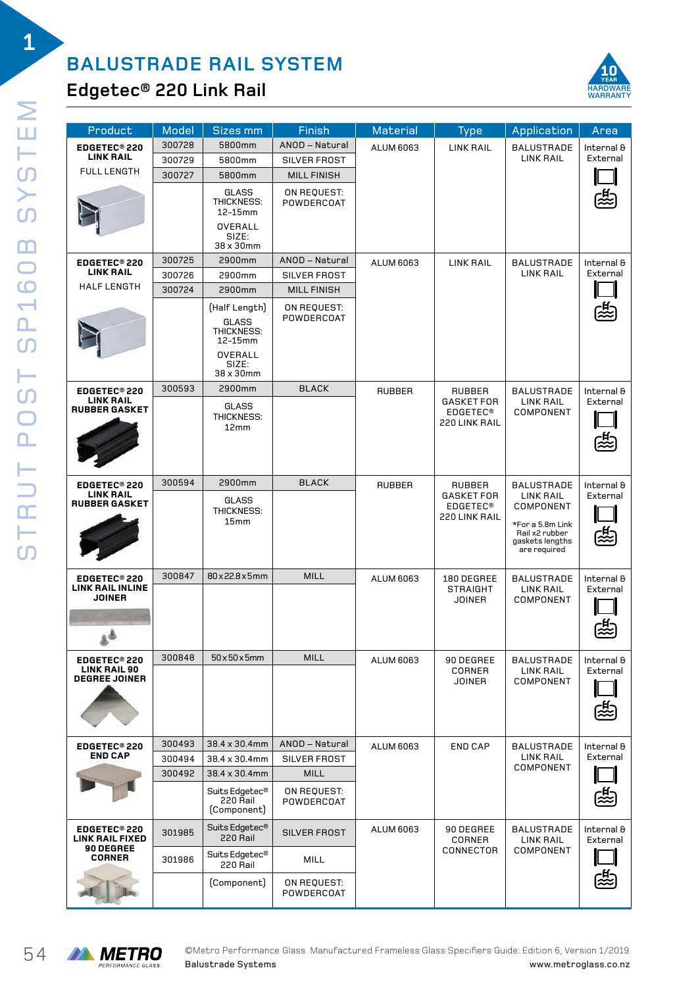

### **Edgetec® 220 Link Rail**

| Product                                            | Model  | <b>Sizes mm</b>                                                                         | Finish                    | <b>Material</b>  | <b>Type</b>                                           | Application                                                                                            | Area                   |
|----------------------------------------------------|--------|-----------------------------------------------------------------------------------------|---------------------------|------------------|-------------------------------------------------------|--------------------------------------------------------------------------------------------------------|------------------------|
| EDGETEC <sup>®</sup> 220                           | 300728 | 5800mm                                                                                  | ANOD - Natural            | <b>ALUM 6063</b> | <b>LINK RAIL</b>                                      | <b>BALUSTRADE</b>                                                                                      | Internal &             |
| <b>LINK RAIL</b>                                   | 300729 | 5800mm                                                                                  | SILVER FROST              |                  |                                                       | <b>LINK RAIL</b>                                                                                       | External               |
| <b>FULL LENGTH</b>                                 | 300727 | 5800mm                                                                                  | <b>MILL FINISH</b>        |                  |                                                       |                                                                                                        |                        |
|                                                    |        | GLASS<br>THICKNESS:<br>12-15mm<br>OVERALL<br>SIZE:<br>38 x 30mm                         | ON REQUEST:<br>POWDERCOAT |                  |                                                       |                                                                                                        |                        |
| EDGETEC <sup>®</sup> 220                           | 300725 | 2900mm                                                                                  | ANOD-Natural              | <b>ALUM 6063</b> | <b>LINK RAIL</b>                                      | <b>BALUSTRADE</b>                                                                                      | Internal &             |
| <b>LINK RAIL</b>                                   | 300726 | 2900mm                                                                                  | SILVER FROST              |                  |                                                       | <b>LINK RAIL</b>                                                                                       | External               |
| <b>HALF LENGTH</b>                                 | 300724 | 2900mm                                                                                  | <b>MILL FINISH</b>        |                  |                                                       |                                                                                                        |                        |
|                                                    |        | (Half Length)<br><b>GLASS</b><br>THICKNESS:<br>12-15mm<br>OVERALL<br>SIZE:<br>38 x 30mm | ON REQUEST:<br>POWDERCOAT |                  |                                                       |                                                                                                        |                        |
| EDGETEC <sup>®</sup> 220                           | 300593 | 2900mm                                                                                  | <b>BLACK</b>              | <b>RUBBER</b>    | RUBBER                                                | <b>BALUSTRADE</b>                                                                                      | Internal &             |
| <b>LINK RAIL</b><br><b>RUBBER GASKET</b>           |        | <b>GLASS</b><br>THICKNESS:<br>12mm                                                      |                           |                  | <b>GASKET FOR</b><br><b>EDGETEC®</b><br>220 LINK RAIL | <b>LINK RAIL</b><br>COMPONENT                                                                          | External               |
| EDGETEC <sup>®</sup> 220                           | 300594 | 2900mm                                                                                  | <b>BLACK</b>              | <b>RUBBER</b>    | <b>RUBBER</b>                                         | <b>BALUSTRADE</b>                                                                                      | Internal &             |
| <b>LINK RAIL</b><br><b>RUBBER GASKET</b>           |        | GLASS<br>THICKNESS:<br>15mm                                                             |                           |                  | <b>GASKET FOR</b><br><b>EDGETEC®</b><br>220 LINK RAIL | <b>LINK RAIL</b><br>COMPONENT<br>*For a 5.8m Link<br>Rail x2 rubber<br>gaskets lengths<br>are required | External<br>怨          |
| EDGETEC <sup>®</sup> 220                           | 300847 | 80x22.8x5mm                                                                             | <b>MILL</b>               | <b>ALUM 6063</b> | 180 DEGREE                                            | <b>BALUSTRADE</b>                                                                                      | Internal &             |
| <b>LINK RAIL INLINE</b><br><b>JOINER</b>           |        |                                                                                         |                           |                  | <b>STRAIGHT</b><br><b>JOINER</b>                      | LINK RAIL<br>COMPONENT                                                                                 | External               |
| <b>EDGETEC®220</b>                                 | 300848 | $50 \times 50 \times 5$ mm                                                              | <b>MILL</b>               | ALUM 6063        | 90 DEGREE                                             | <b>BALUSTRADE</b>                                                                                      | Internal &             |
| <b>LINK RAIL 90</b><br><b>DEGREE JOINER</b>        |        |                                                                                         |                           |                  | CORNER<br><b>JOINER</b>                               | <b>LINK RAIL</b><br>COMPONENT                                                                          | External               |
| EDGETEC <sup>®</sup> 220                           | 300493 | 38.4 x 30.4mm                                                                           | ANOD-Natural              | <b>ALUM 6063</b> | <b>END CAP</b>                                        | BALUSTRADE                                                                                             | Internal &             |
| <b>END CAP</b>                                     | 300494 | 38.4 x 30.4mm                                                                           | SILVER FROST              |                  |                                                       | LINK RAIL<br>COMPONENT                                                                                 | External               |
|                                                    | 300492 | 38.4 x 30.4mm                                                                           | <b>MILL</b>               |                  |                                                       |                                                                                                        |                        |
|                                                    |        | Suits Edgetec <sup>®</sup><br>220 Rail<br>(Component)                                   | ON REQUEST:<br>POWDERCOAT |                  |                                                       |                                                                                                        | 忠                      |
| EDGETEC <sup>®</sup> 220<br><b>LINK RAIL FIXED</b> | 301985 | Suits Edgetec <sup>®</sup><br>220 Rail                                                  | SILVER FROST              | <b>ALUM 6063</b> | 90 DEGREE<br>CORNER                                   | <b>BALUSTRADE</b><br><b>LINK RAIL</b>                                                                  | Internal &<br>External |
| 90 DEGREE<br><b>CORNER</b>                         | 301986 | Suits Edgetec®<br>220 Rail                                                              | MILL                      |                  | CONNECTOR                                             | COMPONENT                                                                                              |                        |
|                                                    |        | (Component)                                                                             | ON REQUEST:<br>POWDERCOAT |                  |                                                       |                                                                                                        |                        |